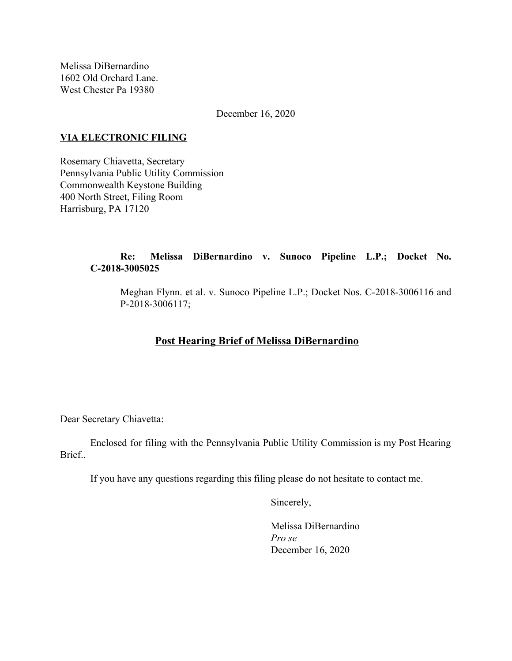Melissa DiBernardino 1602 Old Orchard Lane. West Chester Pa 19380

December 16, 2020

### **VIA ELECTRONIC FILING**

Rosemary Chiavetta, Secretary Pennsylvania Public Utility Commission Commonwealth Keystone Building 400 North Street, Filing Room Harrisburg, PA 17120

## **Re: Melissa DiBernardino v. Sunoco Pipeline L.P.; Docket No. C-2018-3005025**

Meghan Flynn. et al. v. Sunoco Pipeline L.P.; Docket Nos. C-2018-3006116 and P-2018-3006117;

# **Post Hearing Brief of Melissa DiBernardino**

Dear Secretary Chiavetta:

Enclosed for filing with the Pennsylvania Public Utility Commission is my Post Hearing Brief..

If you have any questions regarding this filing please do not hesitate to contact me.

Sincerely,

Melissa DiBernardino *Pro se* December 16, 2020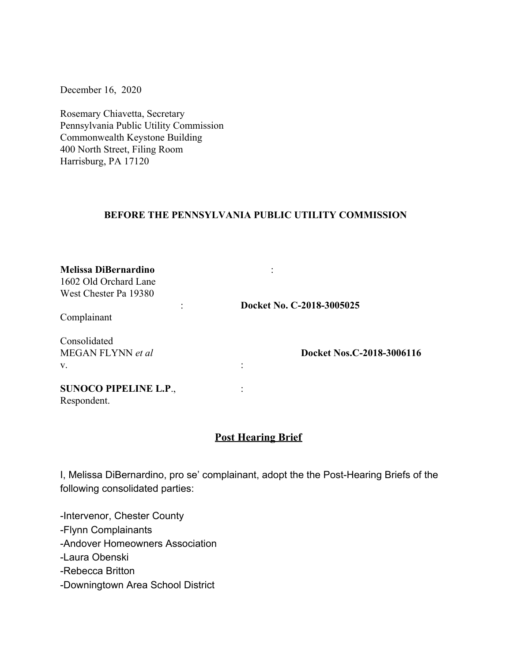December 16, 2020

Rosemary Chiavetta, Secretary Pennsylvania Public Utility Commission Commonwealth Keystone Building 400 North Street, Filing Room Harrisburg, PA 17120

#### **BEFORE THE PENNSYLVANIA PUBLIC UTILITY COMMISSION**

| Docket No. C-2018-3005025 |
|---------------------------|
|                           |
|                           |
| Docket Nos.C-2018-3006116 |
|                           |
|                           |
|                           |
|                           |

# **Post Hearing Brief**

I, Melissa DiBernardino, pro se' complainant, adopt the the Post-Hearing Briefs of the following consolidated parties:

-Intervenor, Chester County -Flynn Complainants -Andover Homeowners Association -Laura Obenski -Rebecca Britton -Downingtown Area School District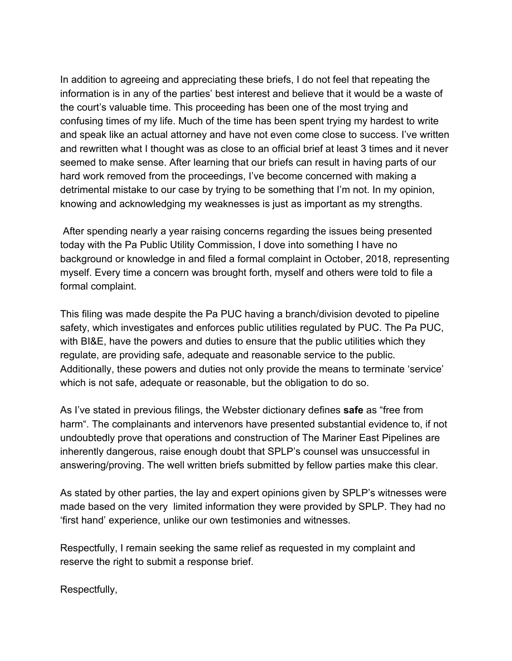In addition to agreeing and appreciating these briefs, I do not feel that repeating the information is in any of the parties' best interest and believe that it would be a waste of the court's valuable time. This proceeding has been one of the most trying and confusing times of my life. Much of the time has been spent trying my hardest to write and speak like an actual attorney and have not even come close to success. I've written and rewritten what I thought was as close to an official brief at least 3 times and it never seemed to make sense. After learning that our briefs can result in having parts of our hard work removed from the proceedings, I've become concerned with making a detrimental mistake to our case by trying to be something that I'm not. In my opinion, knowing and acknowledging my weaknesses is just as important as my strengths.

 After spending nearly a year raising concerns regarding the issues being presented today with the Pa Public Utility Commission, I dove into something I have no background or knowledge in and filed a formal complaint in October, 2018, representing myself. Every time a concern was brought forth, myself and others were told to file a formal complaint.

This filing was made despite the Pa PUC having a branch/division devoted to pipeline safety, which investigates and enforces public utilities regulated by PUC. The Pa PUC, with BI&E, have the powers and duties to ensure that the public utilities which they regulate, are providing safe, adequate and reasonable service to the public. Additionally, these powers and duties not only provide the means to terminate 'service' which is not safe, adequate or reasonable, but the obligation to do so.

As I've stated in previous filings, the Webster dictionary defines **safe** as "free from harm". The complainants and intervenors have presented substantial evidence to, if not undoubtedly prove that operations and construction of The Mariner East Pipelines are inherently dangerous, raise enough doubt that SPLP's counsel was unsuccessful in answering/proving. The well written briefs submitted by fellow parties make this clear.

As stated by other parties, the lay and expert opinions given by SPLP's witnesses were made based on the very limited information they were provided by SPLP. They had no 'first hand' experience, unlike our own testimonies and witnesses.

Respectfully, I remain seeking the same relief as requested in my complaint and reserve the right to submit a response brief.

Respectfully,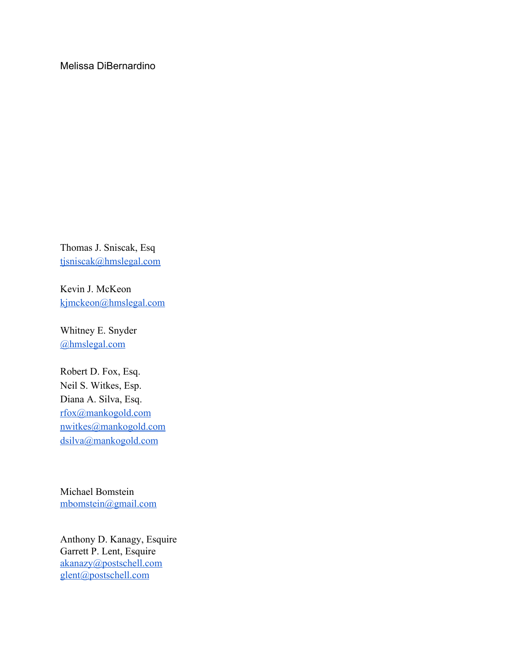Melissa DiBernardino

Thomas J. Sniscak, Esq [tjsniscak@hmslegal.com](mailto:tjsniscak@hmslegal.com)

Kevin J. McKeon [kjmckeon@hmslegal.com](mailto:kjmckeon@hmslegal.com)

Whitney E. Snyder [@hmslegal.com](mailto:wesnyder@hmslegal.com)

Robert D. Fox, Esq. Neil S. Witkes, Esp. Diana A. Silva, Esq. [rfox@mankogold.com](mailto:rfox@mankogold.com) [nwitkes@mankogold.com](mailto:nwitkes@mankogold.com) [dsilva@mankogold.com](mailto:dsilva@mankogold.com)

Michael Bomstein [mbomstein@gmail.com](mailto:mbomstein@gmail.com)

Anthony D. Kanagy, Esquire Garrett P. Lent, Esquire [akanazy@postschell.com](mailto:akanazy@postschell.com) [glent@postschell.com](mailto:glent@postschell.com)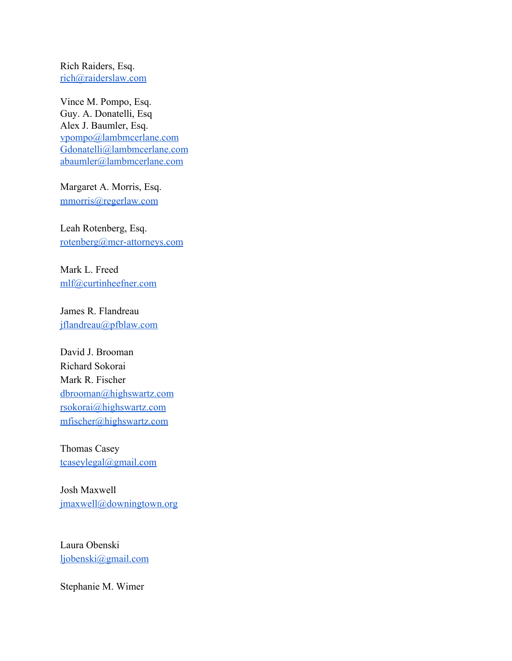Rich Raiders, Esq. [rich@raiderslaw.com](mailto:rich@raiderslaw.com)

Vince M. Pompo, Esq. Guy. A. Donatelli, Esq Alex J. Baumler, Esq. [vpompo@lambmcerlane.com](mailto:vpompo@lambmcerlane.com) [Gdonatelli@lambmcerlane.com](mailto:Gdonatelli@lambmcerlane.com) [abaumler@lambmcerlane.com](mailto:abaumler@lambmcerlane.com)

Margaret A. Morris, Esq. [mmorris@regerlaw.com](mailto:mmorris@regerlaw.com)

Leah Rotenberg, Esq. [rotenberg@mcr-attorneys.com](mailto:rotenberg@mcr-attorneys.com)

Mark L. Freed [mlf@curtinheefner.com](mailto:mlf@curtinheefner.com)

James R. Flandreau [jflandreau@pfblaw.com](mailto:jflandreau@pfblaw.com)

David J. Brooman Richard Sokorai Mark R. Fischer [dbrooman@highswartz.com](mailto:dbrooman@highswartz.com) [rsokorai@highswartz.com](mailto:rsokorai@highswartz.com) [mfischer@highswartz.com](mailto:mfischer@highswartz.com)

Thomas Casey [tcaseylegal@gmail.com](mailto:tcaseylegal@gmail.com)

Josh Maxwell [jmaxwell@downingtown.org](mailto:jmaxwell@downingtown.org)

Laura Obenski [ljobenski@gmail.com](mailto:ljobenski@gmail.com)

Stephanie M. Wimer